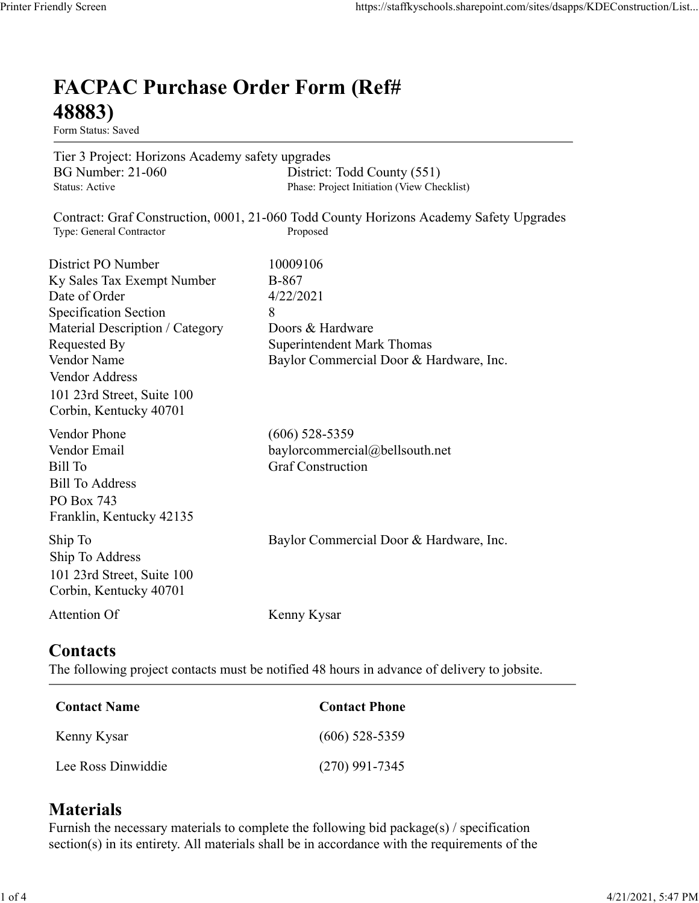## FACPAC Purchase Order Form (Ref# 48883)

| <b>FACPAC Purchase Order Form (Ref#</b><br>48883)<br>Form Status: Saved                                                                                                                                                                |                                                                                                                                         |
|----------------------------------------------------------------------------------------------------------------------------------------------------------------------------------------------------------------------------------------|-----------------------------------------------------------------------------------------------------------------------------------------|
| Tier 3 Project: Horizons Academy safety upgrades<br><b>BG Number: 21-060</b><br>Status: Active                                                                                                                                         | District: Todd County (551)<br>Phase: Project Initiation (View Checklist)                                                               |
| Type: General Contractor                                                                                                                                                                                                               | Contract: Graf Construction, 0001, 21-060 Todd County Horizons Academy Safety Upgrades<br>Proposed                                      |
| District PO Number<br>Ky Sales Tax Exempt Number<br>Date of Order<br>Specification Section<br>Material Description / Category<br>Requested By<br>Vendor Name<br>Vendor Address<br>101 23rd Street, Suite 100<br>Corbin, Kentucky 40701 | 10009106<br><b>B-867</b><br>4/22/2021<br>8<br>Doors & Hardware<br>Superintendent Mark Thomas<br>Baylor Commercial Door & Hardware, Inc. |
| Vendor Phone<br>Vendor Email<br><b>Bill To</b><br><b>Bill To Address</b><br>PO Box 743<br>Franklin, Kentucky 42135                                                                                                                     | $(606)$ 528-5359<br>baylorcommercial@bellsouth.net<br><b>Graf Construction</b>                                                          |
| Ship To<br>Ship To Address<br>101 23rd Street, Suite 100<br>Corbin, Kentucky 40701                                                                                                                                                     | Baylor Commercial Door & Hardware, Inc.                                                                                                 |
| Attention Of                                                                                                                                                                                                                           | Kenny Kysar                                                                                                                             |
| <b>Contacts</b>                                                                                                                                                                                                                        | The following project contacts must be notified 48 hours in advance of delivery to jobsite.                                             |
| <b>Contact Name</b>                                                                                                                                                                                                                    | <b>Contact Phone</b>                                                                                                                    |
| Kenny Kysar                                                                                                                                                                                                                            | $(606)$ 528-5359                                                                                                                        |
| Lee Ross Dinwiddie                                                                                                                                                                                                                     | $(270)$ 991-7345                                                                                                                        |

## **Contacts**

| <b>Contact Name</b> | <b>Contact Phone</b> |  |  |  |
|---------------------|----------------------|--|--|--|
| Kenny Kysar         | $(606)$ 528-5359     |  |  |  |
| Lee Ross Dinwiddie  | $(270)$ 991-7345     |  |  |  |

## Materials

Furnish the necessary materials to complete the following bid package(s) / specification section(s) in its entirety. All materials shall be in accordance with the requirements of the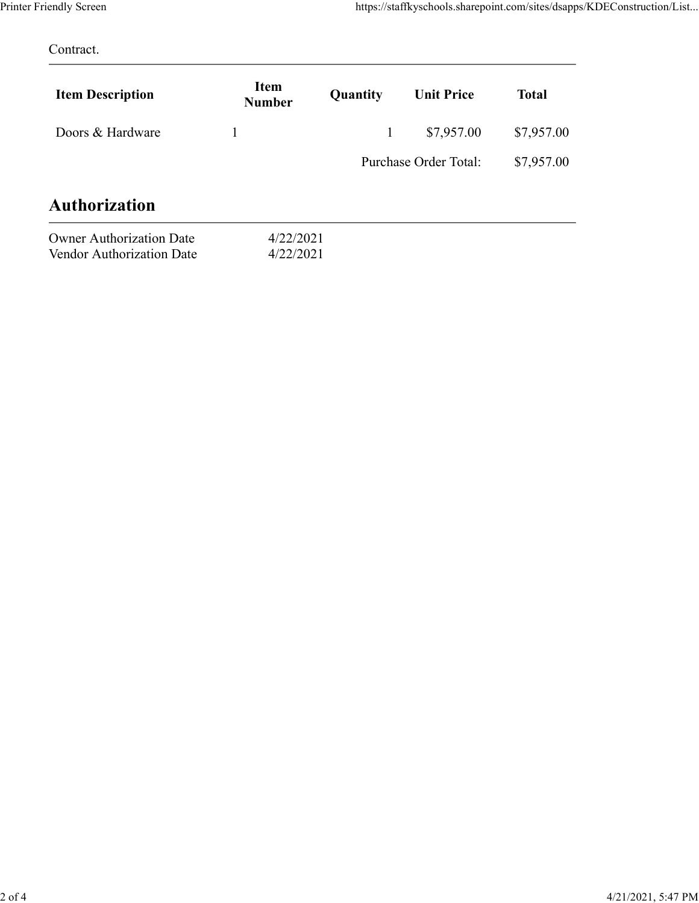| Printer Friendly Screen |                       |              | https://staffkyschools.sharepoint.com/sites/dsapps/KDEConstruction/List |              |  |  |
|-------------------------|-----------------------|--------------|-------------------------------------------------------------------------|--------------|--|--|
| Contract.               |                       |              |                                                                         |              |  |  |
| <b>Item Description</b> | Item<br><b>Number</b> | Quantity     | <b>Unit Price</b>                                                       | <b>Total</b> |  |  |
| Doors & Hardware        | $\mathbf{1}$          | $\mathbf{1}$ | \$7,957.00                                                              | \$7,957.00   |  |  |
|                         |                       |              | Purchase Order Total:                                                   | \$7,957.00   |  |  |
| Authorization           |                       |              |                                                                         |              |  |  |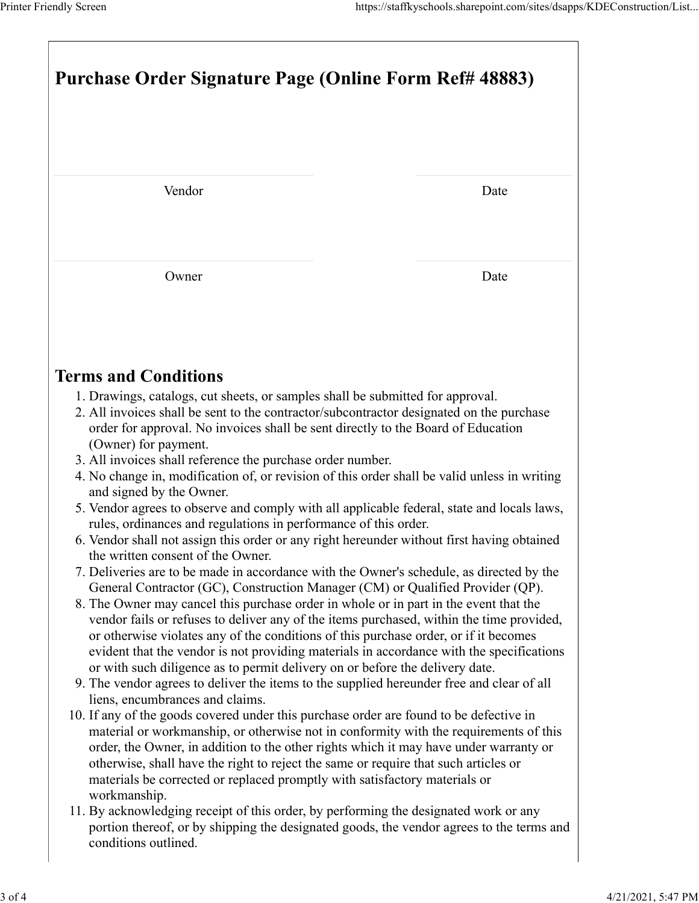| Printer Friendly Screen<br>https://staffkyschools.sharepoint.com/sites/dsapps/KDEConstruction/List<br>Purchase Order Signature Page (Online Form Ref# 48883)                                                                                                                                                                                                                                                                                                                                       |      |  |  |  |
|----------------------------------------------------------------------------------------------------------------------------------------------------------------------------------------------------------------------------------------------------------------------------------------------------------------------------------------------------------------------------------------------------------------------------------------------------------------------------------------------------|------|--|--|--|
|                                                                                                                                                                                                                                                                                                                                                                                                                                                                                                    |      |  |  |  |
| Vendor                                                                                                                                                                                                                                                                                                                                                                                                                                                                                             | Date |  |  |  |
| Owner                                                                                                                                                                                                                                                                                                                                                                                                                                                                                              | Date |  |  |  |
| <b>Terms and Conditions</b>                                                                                                                                                                                                                                                                                                                                                                                                                                                                        |      |  |  |  |
| 1. Drawings, catalogs, cut sheets, or samples shall be submitted for approval.<br>2. All invoices shall be sent to the contractor/subcontractor designated on the purchase<br>order for approval. No invoices shall be sent directly to the Board of Education<br>(Owner) for payment.<br>3. All invoices shall reference the purchase order number.                                                                                                                                               |      |  |  |  |
| 4. No change in, modification of, or revision of this order shall be valid unless in writing<br>and signed by the Owner.<br>5. Vendor agrees to observe and comply with all applicable federal, state and locals laws,<br>rules, ordinances and regulations in performance of this order.                                                                                                                                                                                                          |      |  |  |  |
| 6. Vendor shall not assign this order or any right hereunder without first having obtained<br>the written consent of the Owner.<br>7. Deliveries are to be made in accordance with the Owner's schedule, as directed by the<br>General Contractor (GC), Construction Manager (CM) or Qualified Provider (QP).<br>8. The Owner may cancel this purchase order in whole or in part in the event that the<br>vendor fails or refuses to deliver any of the items purchased, within the time provided, |      |  |  |  |
| or otherwise violates any of the conditions of this purchase order, or if it becomes<br>evident that the vendor is not providing materials in accordance with the specifications<br>or with such diligence as to permit delivery on or before the delivery date.<br>9. The vendor agrees to deliver the items to the supplied hereunder free and clear of all<br>liens, encumbrances and claims.                                                                                                   |      |  |  |  |
| 10. If any of the goods covered under this purchase order are found to be defective in<br>material or workmanship, or otherwise not in conformity with the requirements of this<br>order, the Owner, in addition to the other rights which it may have under warranty or<br>otherwise, shall have the right to reject the same or require that such articles or<br>materials be corrected or replaced promptly with satisfactory materials or                                                      |      |  |  |  |
| workmanship.<br>11. By acknowledging receipt of this order, by performing the designated work or any<br>portion thereof, or by shipping the designated goods, the vendor agrees to the terms and<br>conditions outlined.                                                                                                                                                                                                                                                                           |      |  |  |  |